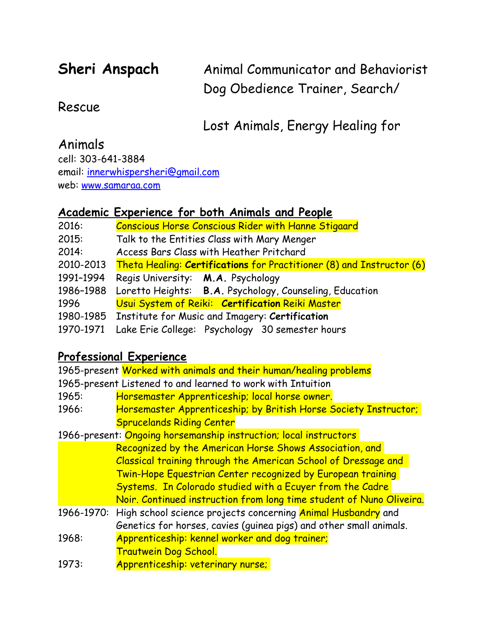**Sheri Anspach** Animal Communicator and Behaviorist Dog Obedience Trainer, Search/

## Rescue

Lost Animals, Energy Healing for

# Animals

cell: 303-641-3884 email: [innerwhispersheri@gmail.com](mailto:innerwhispersheri@gmail.com) web: [www.samaraa.com](http://www.samaraa.com)

# **Academic Experience for both Animals and People**

| 2016:     | <b>Conscious Horse Conscious Rider with Hanne Stigaard</b>            |
|-----------|-----------------------------------------------------------------------|
| 2015:     | Talk to the Entities Class with Mary Menger                           |
| 2014:     | Access Bars Class with Heather Pritchard                              |
| 2010-2013 | Theta Healing: Certifications for Practitioner (8) and Instructor (6) |
| 1991-1994 | Regis University: M.A. Psychology                                     |
| 1986-1988 | Loretto Heights: B.A. Psychology, Counseling, Education               |
| 1996      | Usui System of Reiki: Certification Reiki Master                      |
|           | 1980-1985 Institute for Music and Imagery: Certification              |
| 1970-1971 | Lake Erie College: Psychology 30 semester hours                       |

# **Professional Experience**

| 1965-present Worked with animals and their human/healing problems |                                                                                |  |
|-------------------------------------------------------------------|--------------------------------------------------------------------------------|--|
| 1965-present Listened to and learned to work with Intuition       |                                                                                |  |
| 1965:                                                             | Horsemaster Apprenticeship; local horse owner.                                 |  |
| 1966:                                                             | Horsemaster Apprenticeship; by British Horse Society Instructor;               |  |
|                                                                   | <b>Sprucelands Riding Center</b>                                               |  |
| 1966-present: Ongoing horsemanship instruction; local instructors |                                                                                |  |
|                                                                   | Recognized by the American Horse Shows Association, and                        |  |
| Classical training through the American School of Dressage and    |                                                                                |  |
| Twin-Hope Equestrian Center recognized by European training       |                                                                                |  |
|                                                                   | Systems. In Colorado studied with a Ecuyer from the Cadre                      |  |
|                                                                   | Noir. Continued instruction from long time student of Nuno Oliveira.           |  |
|                                                                   | 1966-1970: High school science projects concerning <b>Animal Husbandry</b> and |  |
|                                                                   | Genetics for horses, cavies (quinea pigs) and other small animals.             |  |
| 1968:                                                             | Apprenticeship: kennel worker and dog trainer;                                 |  |
|                                                                   | Trautwein Dog School.                                                          |  |
| 1973:                                                             | Apprenticeship: veterinary nurse;                                              |  |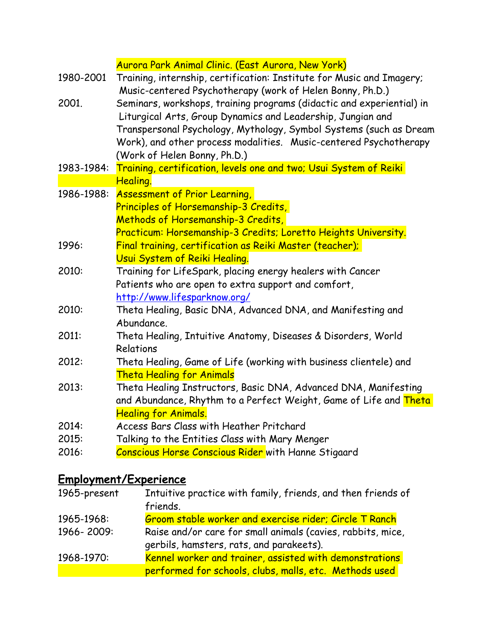|            | Aurora Park Animal Clinic. (East Aurora, New York)                                                                                                                                                                                                                                                              |
|------------|-----------------------------------------------------------------------------------------------------------------------------------------------------------------------------------------------------------------------------------------------------------------------------------------------------------------|
| 1980-2001  | Training, internship, certification: Institute for Music and Imagery;<br>Music-centered Psychotherapy (work of Helen Bonny, Ph.D.)                                                                                                                                                                              |
| 2001.      | Seminars, workshops, training programs (didactic and experiential) in<br>Liturgical Arts, Group Dynamics and Leadership, Jungian and<br>Transpersonal Psychology, Mythology, Symbol Systems (such as Dream<br>Work), and other process modalities. Music-centered Psychotherapy<br>(Work of Helen Bonny, Ph.D.) |
| 1983-1984: | Training, certification, levels one and two; Usui System of Reiki                                                                                                                                                                                                                                               |
|            | Healing.                                                                                                                                                                                                                                                                                                        |
| 1986-1988: | <b>Assessment of Prior Learning,</b>                                                                                                                                                                                                                                                                            |
|            | Principles of Horsemanship-3 Credits,                                                                                                                                                                                                                                                                           |
|            | Methods of Horsemanship-3 Credits,                                                                                                                                                                                                                                                                              |
|            | Practicum: Horsemanship-3 Credits; Loretto Heights University.                                                                                                                                                                                                                                                  |
| 1996:      | Final training, certification as Reiki Master (teacher);                                                                                                                                                                                                                                                        |
|            | Usui System of Reiki Healing.                                                                                                                                                                                                                                                                                   |
| 2010:      | Training for LifeSpark, placing energy healers with Cancer                                                                                                                                                                                                                                                      |
|            | Patients who are open to extra support and comfort,                                                                                                                                                                                                                                                             |
|            | http://www.lifesparknow.org/                                                                                                                                                                                                                                                                                    |
| 2010:      | Theta Healing, Basic DNA, Advanced DNA, and Manifesting and<br>Abundance.                                                                                                                                                                                                                                       |
| 2011:      | Theta Healing, Intuitive Anatomy, Diseases & Disorders, World<br>Relations                                                                                                                                                                                                                                      |
| 2012:      | Theta Healing, Game of Life (working with business clientele) and                                                                                                                                                                                                                                               |
|            | <b>Theta Healing for Animals</b>                                                                                                                                                                                                                                                                                |
| 2013:      | Theta Healing Instructors, Basic DNA, Advanced DNA, Manifesting                                                                                                                                                                                                                                                 |
|            | and Abundance, Rhythm to a Perfect Weight, Game of Life and Theta                                                                                                                                                                                                                                               |
|            | <b>Healing for Animals.</b>                                                                                                                                                                                                                                                                                     |
| 2014:      | Access Bars Class with Heather Pritchard                                                                                                                                                                                                                                                                        |
| 2015:      | Talking to the Entities Class with Mary Menger                                                                                                                                                                                                                                                                  |
| 2016:      | <b>Conscious Horse Conscious Rider with Hanne Stigaard</b>                                                                                                                                                                                                                                                      |
|            | <u>Employment/Experience</u>                                                                                                                                                                                                                                                                                    |

# 1965-present Intuitive practice with family, friends, and then friends of friends. 1965-1968: Groom stable worker and exercise rider; Circle T Ranch 1966- 2009: Raise and/or care for small animals (cavies, rabbits, mice, gerbils, hamsters, rats, and parakeets).

1968-1970: Kennel worker and trainer, assisted with demonstrations performed for schools, clubs, malls, etc. Methods used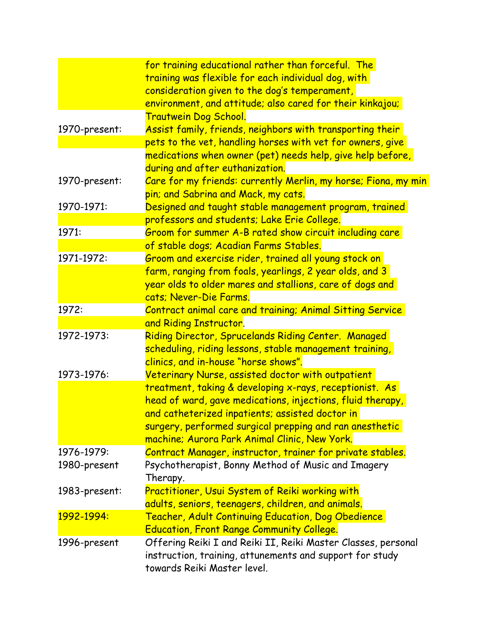|               | for training educational rather than forceful. The<br>training was flexible for each individual dog, with |
|---------------|-----------------------------------------------------------------------------------------------------------|
|               | consideration given to the dog's temperament,                                                             |
|               | environment, and attitude; also cared for their kinkajou;                                                 |
|               | <b>Trautwein Dog School.</b>                                                                              |
| 1970-present: | Assist family, friends, neighbors with transporting their                                                 |
|               | pets to the vet, handling horses with vet for owners, give                                                |
|               | medications when owner (pet) needs help, give help before,                                                |
|               | during and after euthanization.                                                                           |
| 1970-present: | Care for my friends: currently Merlin, my horse; Fiona, my min                                            |
|               | pin; and Sabrina and Mack, my cats.                                                                       |
| 1970-1971:    | Designed and taught stable management program, trained                                                    |
|               | professors and students; Lake Erie College.                                                               |
| 1971:         | Groom for summer A-B rated show circuit including care                                                    |
|               | of stable dogs; Acadian Farms Stables.                                                                    |
| 1971-1972:    | Groom and exercise rider, trained all young stock on                                                      |
|               | farm, ranging from foals, yearlings, 2 year olds, and 3                                                   |
|               | year olds to older mares and stallions, care of dogs and                                                  |
|               | cats; Never-Die Farms.                                                                                    |
| 1972:         | Contract animal care and training; Animal Sitting Service                                                 |
|               | and Riding Instructor.                                                                                    |
| 1972-1973:    | Riding Director, Sprucelands Riding Center. Managed                                                       |
|               | scheduling, riding lessons, stable management training,                                                   |
|               | clinics, and in-house "horse shows".                                                                      |
| 1973-1976:    | Veterinary Nurse, assisted doctor with outpatient                                                         |
|               | treatment, taking & developing x-rays, receptionist. As                                                   |
|               | head of ward, gave medications, injections, fluid therapy,                                                |
|               | and catheterized inpatients; assisted doctor in                                                           |
|               | surgery, performed surgical prepping and ran anesthetic                                                   |
|               | machine; Aurora Park Animal Clinic, New York.                                                             |
| 1976-1979:    | Contract Manager, instructor, trainer for private stables.                                                |
| 1980-present  | Psychotherapist, Bonny Method of Music and Imagery                                                        |
|               | Therapy.                                                                                                  |
| 1983-present: | Practitioner, Usui System of Reiki working with                                                           |
|               | adults, seniors, teenagers, children, and animals.                                                        |
| 1992-1994:    | Teacher, Adult Continuing Education, Dog Obedience                                                        |
|               | <b>Education, Front Range Community College.</b>                                                          |
| 1996-present  | Offering Reiki I and Reiki II, Reiki Master Classes, personal                                             |
|               | instruction, training, attunements and support for study<br>towards Reiki Master level.                   |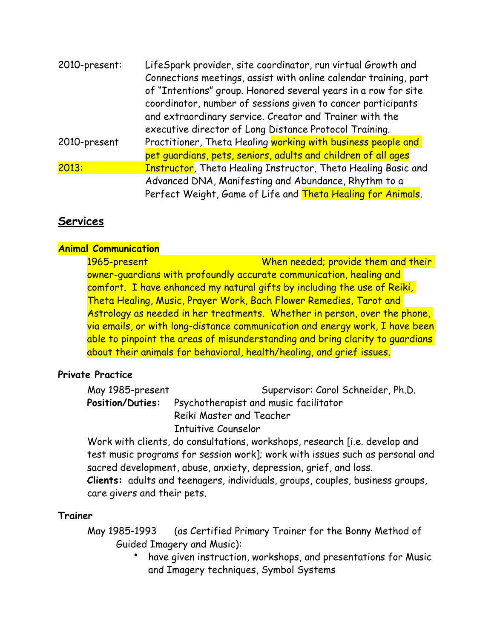| 2010-present: | LifeSpark provider, site coordinator, run virtual Growth and          |
|---------------|-----------------------------------------------------------------------|
|               | Connections meetings, assist with online calendar training, part      |
|               | of "Intentions" group. Honored several years in a row for site        |
|               | coordinator, number of sessions given to cancer participants          |
|               | and extraordinary service. Creator and Trainer with the               |
|               | executive director of Long Distance Protocol Training.                |
| 2010-present  | Practitioner, Theta Healing working with business people and          |
|               | pet quardians, pets, seniors, adults and children of all ages         |
| 2013:         | <b>Instructor</b> , Theta Healing Instructor, Theta Healing Basic and |
|               | Advanced DNA, Manifesting and Abundance, Rhythm to a                  |
|               | Perfect Weight, Game of Life and Theta Healing for Animals.           |

## **Services**

#### **Animal Communication**

1965-present When needed; provide them and their owner-guardians with profoundly accurate communication, healing and comfort. I have enhanced my natural gifts by including the use of Reiki, Theta Healing, Music, Prayer Work, Bach Flower Remedies, Tarot and Astrology as needed in her treatments. Whether in person, over the phone, via emails, or with long-distance communication and energy work, I have been able to pinpoint the areas of misunderstanding and bring clarity to guardians about their animals for behavioral, health/healing, and grief issues.

### **Private Practice**

| May 1985-present | Supervisor: Carol Schneider, Ph.D.                     |
|------------------|--------------------------------------------------------|
|                  | Position/Duties: Psychotherapist and music facilitator |
|                  | Reiki Master and Teacher                               |
|                  | <b>Intuitive Counselor</b>                             |

Work with clients, do consultations, workshops, research [i.e. develop and test music programs for session work]; work with issues such as personal and sacred development, abuse, anxiety, depression, grief, and loss. **Clients:** adults and teenagers, individuals, groups, couples, business groups, care givers and their pets.

### **Trainer**

May 1985-1993 (as Certified Primary Trainer for the Bonny Method of Guided Imagery and Music):

• have given instruction, workshops, and presentations for Music and Imagery techniques, Symbol Systems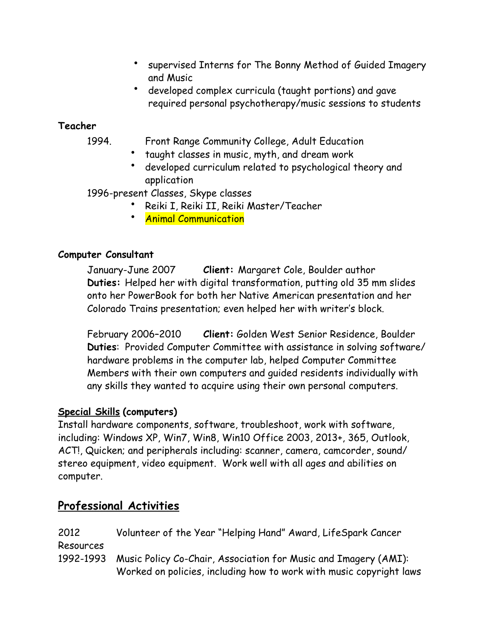- supervised Interns for The Bonny Method of Guided Imagery and Music
- developed complex curricula (taught portions) and gave required personal psychotherapy/music sessions to students

## **Teacher**

- 1994. Front Range Community College, Adult Education
	- taught classes in music, myth, and dream work
	- developed curriculum related to psychological theory and application

1996-present Classes, Skype classes

- Reiki I, Reiki II, Reiki Master/Teacher
- Animal Communication

## **Computer Consultant**

January-June 2007 **Client:** Margaret Cole, Boulder author **Duties:** Helped her with digital transformation, putting old 35 mm slides onto her PowerBook for both her Native American presentation and her Colorado Trains presentation; even helped her with writer's block.

February 2006–2010 **Client:** Golden West Senior Residence, Boulder **Duties**: Provided Computer Committee with assistance in solving software/ hardware problems in the computer lab, helped Computer Committee Members with their own computers and guided residents individually with any skills they wanted to acquire using their own personal computers.

## **Special Skills (computers)**

Install hardware components, software, troubleshoot, work with software, including: Windows XP, Win7, Win8, Win10 Office 2003, 2013+, 365, Outlook, ACT!, Quicken; and peripherals including: scanner, camera, camcorder, sound/ stereo equipment, video equipment. Work well with all ages and abilities on computer.

# **Professional Activities**

| 2012      | Volunteer of the Year "Helping Hand" Award, LifeSpark Cancer              |
|-----------|---------------------------------------------------------------------------|
| Resources |                                                                           |
|           | 1992-1993 Music Policy Co-Chair, Association for Music and Imagery (AMI): |
|           | Worked on policies, including how to work with music copyright laws       |